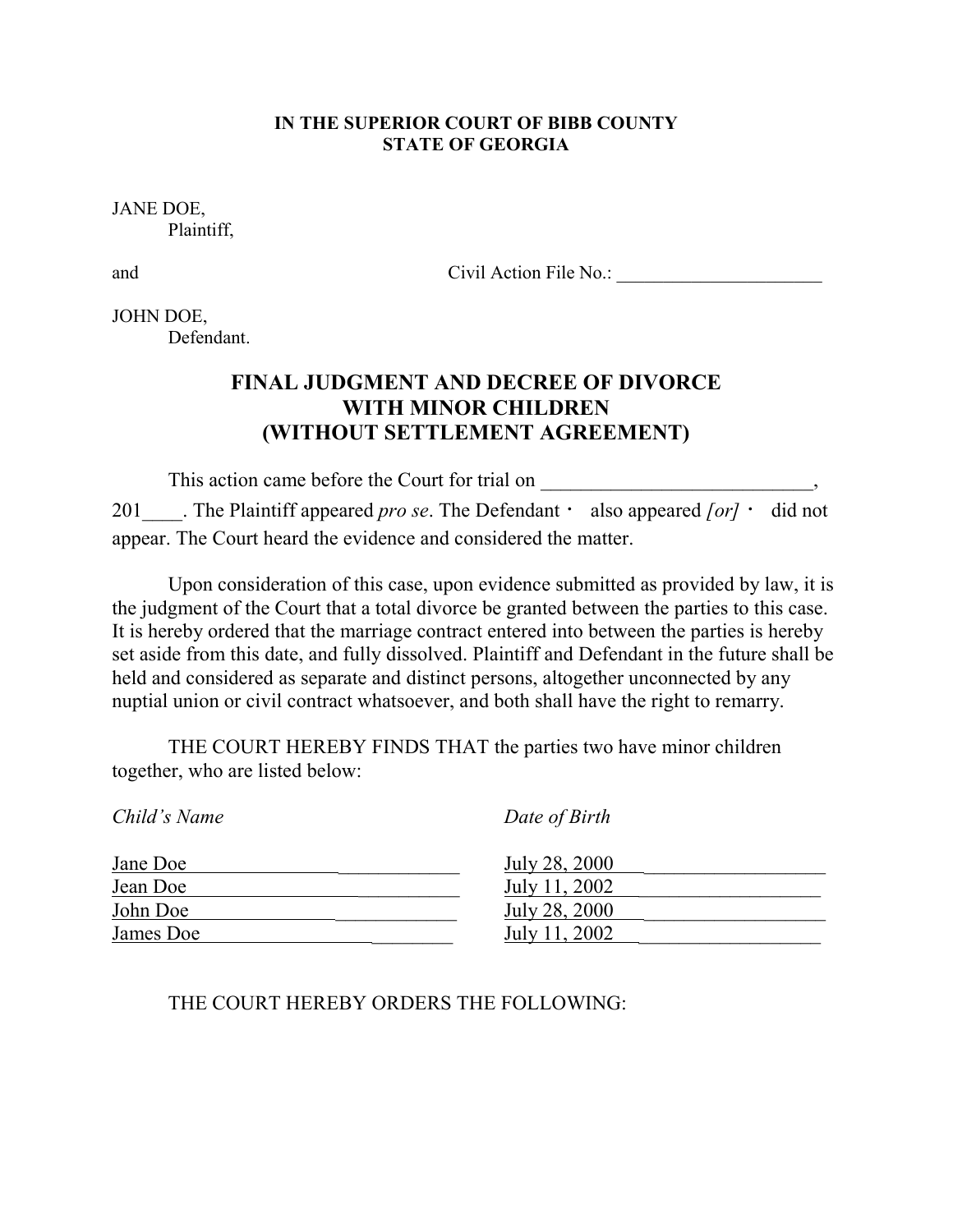#### **IN THE SUPERIOR COURT OF BIBB COUNTY STATE OF GEORGIA**

JANE DOE, Plaintiff,

and Civil Action File No.: \_\_\_\_\_\_\_\_\_\_\_\_\_\_\_\_\_\_\_\_\_\_

JOHN DOE, Defendant.

# **FINAL JUDGMENT AND DECREE OF DIVORCE WITH MINOR CHILDREN (WITHOUT SETTLEMENT AGREEMENT)**

This action came before the Court for trial on \_\_\_\_\_\_\_\_\_\_\_\_\_\_\_\_\_\_\_\_\_\_\_\_\_\_\_\_\_\_\_\_\_

201 The Plaintiff appeared *pro se*. The Defendant  $\cdot$  also appeared *[or]*  $\cdot$  did not appear. The Court heard the evidence and considered the matter.

Upon consideration of this case, upon evidence submitted as provided by law, it is the judgment of the Court that a total divorce be granted between the parties to this case. It is hereby ordered that the marriage contract entered into between the parties is hereby set aside from this date, and fully dissolved. Plaintiff and Defendant in the future shall be held and considered as separate and distinct persons, altogether unconnected by any nuptial union or civil contract whatsoever, and both shall have the right to remarry.

THE COURT HEREBY FINDS THAT the parties two have minor children together, who are listed below:

| Child's Name | Date of Birth |
|--------------|---------------|
| Jane Doe     | July 28, 2000 |
| Jean Doe     | July 11, 2002 |
| John Doe     | July 28, 2000 |
| James Doe    | July 11, 2002 |

## THE COURT HEREBY ORDERS THE FOLLOWING: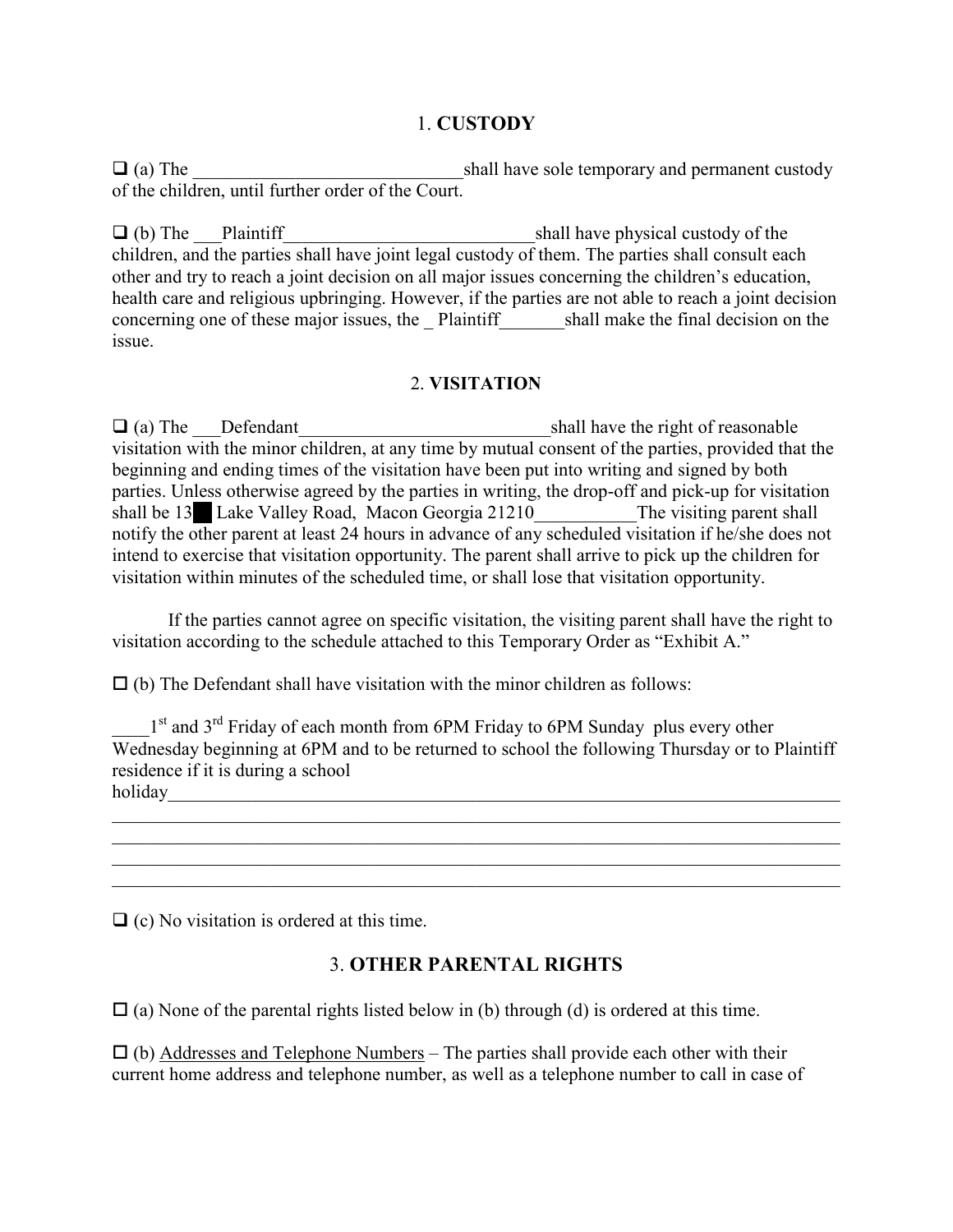## 1. **CUSTODY**

 $\Box$  (a) The shall have sole temporary and permanent custody of the children, until further order of the Court.

 $\Box$  (b) The Plaintiff equals to the shall have physical custody of the children, and the parties shall have joint legal custody of them. The parties shall consult each other and try to reach a joint decision on all major issues concerning the children's education, health care and religious upbringing. However, if the parties are not able to reach a joint decision concerning one of these major issues, the \_ Plaintiff\_\_\_\_\_\_\_shall make the final decision on the issue.

#### 2. **VISITATION**

 $\Box$  (a) The Defendant behind behind the shall have the right of reasonable visitation with the minor children, at any time by mutual consent of the parties, provided that the beginning and ending times of the visitation have been put into writing and signed by both parties. Unless otherwise agreed by the parties in writing, the drop-off and pick-up for visitation shall be 13<sup>6</sup> Lake Valley Road, Macon Georgia 21210 The visiting parent shall notify the other parent at least 24 hours in advance of any scheduled visitation if he/she does not intend to exercise that visitation opportunity. The parent shall arrive to pick up the children for visitation within minutes of the scheduled time, or shall lose that visitation opportunity.

 If the parties cannot agree on specific visitation, the visiting parent shall have the right to visitation according to the schedule attached to this Temporary Order as "Exhibit A."

 $\Box$  (b) The Defendant shall have visitation with the minor children as follows:

1<sup>st</sup> and 3<sup>rd</sup> Friday of each month from 6PM Friday to 6PM Sunday plus every other Wednesday beginning at 6PM and to be returned to school the following Thursday or to Plaintiff residence if it is during a school holiday\_\_\_\_\_\_\_\_\_\_\_\_\_\_\_\_\_\_\_\_\_\_\_\_\_\_\_\_\_\_\_\_\_\_\_\_\_\_\_\_\_\_\_\_\_\_\_\_\_\_\_\_\_\_\_\_\_\_\_\_\_\_\_\_\_\_\_\_\_\_\_\_

\_\_\_\_\_\_\_\_\_\_\_\_\_\_\_\_\_\_\_\_\_\_\_\_\_\_\_\_\_\_\_\_\_\_\_\_\_\_\_\_\_\_\_\_\_\_\_\_\_\_\_\_\_\_\_\_\_\_\_\_\_\_\_\_\_\_\_\_\_\_\_\_\_\_\_\_\_\_ \_\_\_\_\_\_\_\_\_\_\_\_\_\_\_\_\_\_\_\_\_\_\_\_\_\_\_\_\_\_\_\_\_\_\_\_\_\_\_\_\_\_\_\_\_\_\_\_\_\_\_\_\_\_\_\_\_\_\_\_\_\_\_\_\_\_\_\_\_\_\_\_\_\_\_\_\_\_ \_\_\_\_\_\_\_\_\_\_\_\_\_\_\_\_\_\_\_\_\_\_\_\_\_\_\_\_\_\_\_\_\_\_\_\_\_\_\_\_\_\_\_\_\_\_\_\_\_\_\_\_\_\_\_\_\_\_\_\_\_\_\_\_\_\_\_\_\_\_\_\_\_\_\_\_\_\_  $\_$  , and the contribution of the contribution of  $\mathcal{L}_1$  , and  $\mathcal{L}_2$  , and  $\mathcal{L}_3$  , and  $\mathcal{L}_4$  , and  $\mathcal{L}_5$ 

 $\Box$  (c) No visitation is ordered at this time.

### 3. **OTHER PARENTAL RIGHTS**

 $\Box$  (a) None of the parental rights listed below in (b) through (d) is ordered at this time.

 $\Box$  (b) Addresses and Telephone Numbers – The parties shall provide each other with their current home address and telephone number, as well as a telephone number to call in case of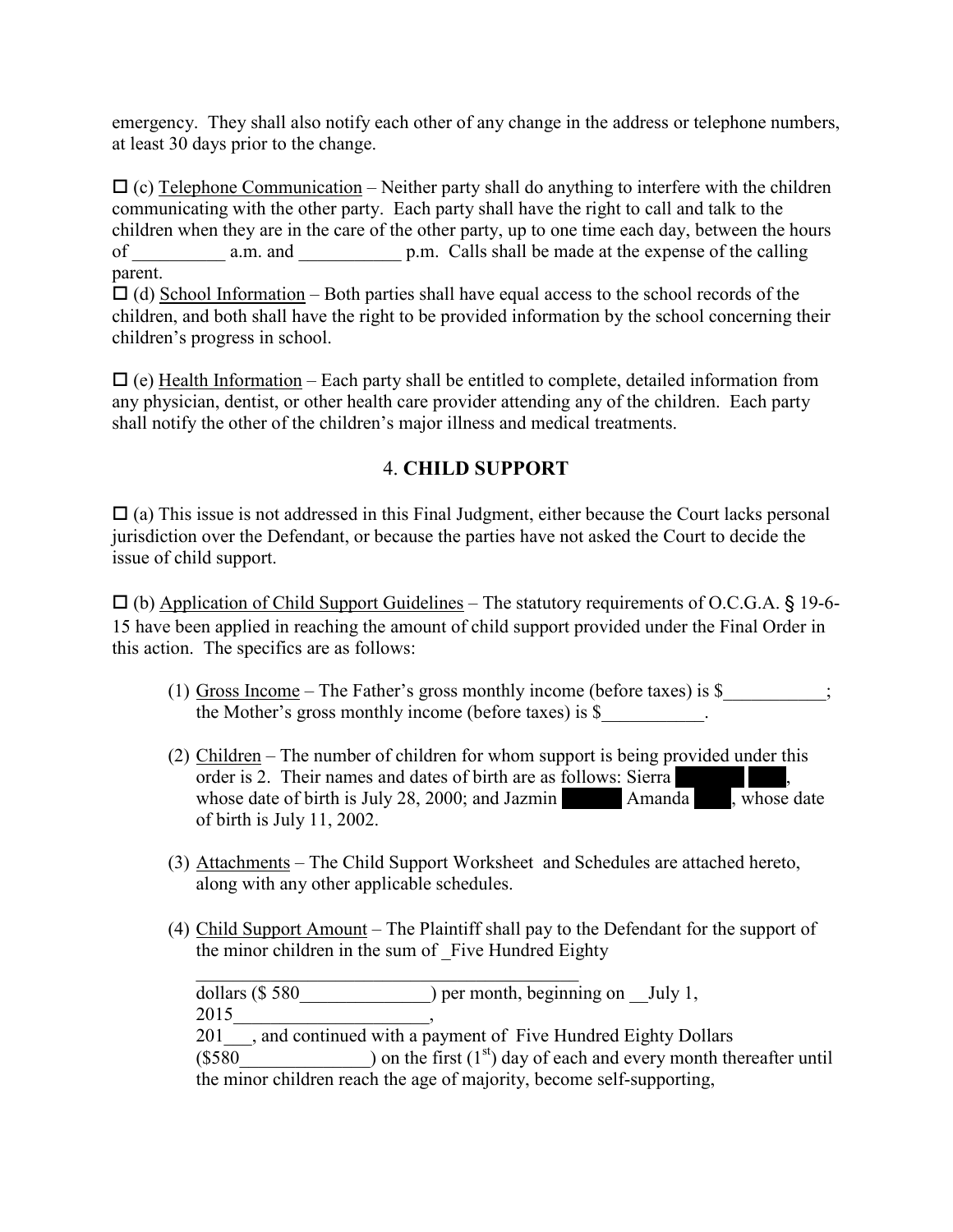emergency. They shall also notify each other of any change in the address or telephone numbers, at least 30 days prior to the change.

 $\Box$  (c) Telephone Communication – Neither party shall do anything to interfere with the children communicating with the other party. Each party shall have the right to call and talk to the children when they are in the care of the other party, up to one time each day, between the hours of a.m. and p.m. Calls shall be made at the expense of the calling parent.

 $\Box$  (d) School Information – Both parties shall have equal access to the school records of the children, and both shall have the right to be provided information by the school concerning their children's progress in school.

 $\Box$  (e) Health Information – Each party shall be entitled to complete, detailed information from any physician, dentist, or other health care provider attending any of the children. Each party shall notify the other of the children's major illness and medical treatments.

# 4. **CHILD SUPPORT**

 $\Box$  (a) This issue is not addressed in this Final Judgment, either because the Court lacks personal jurisdiction over the Defendant, or because the parties have not asked the Court to decide the issue of child support.

- (b) Application of Child Support Guidelines – The statutory requirements of O.C.G.A. § 19-6- 15 have been applied in reaching the amount of child support provided under the Final Order in this action. The specifics are as follows:

- (1) Gross Income The Father's gross monthly income (before taxes) is  $\$ ; the Mother's gross monthly income (before taxes) is \$
- (2) Children The number of children for whom support is being provided under this order is 2. Their names and dates of birth are as follows: Sierra whose date of birth is July 28, 2000; and Jazmin Amanda Rose, whose date of birth is July 11, 2002.
- (3) Attachments The Child Support Worksheet and Schedules are attached hereto, along with any other applicable schedules.
- (4) Child Support Amount The Plaintiff shall pay to the Defendant for the support of the minor children in the sum of \_Five Hundred Eighty

 $\_$  . The contribution of the contribution of  $\mathcal{L}_\mathcal{L}$ dollars (\$580  $\qquad \qquad$ ) per month, beginning on July 1, 2015\_\_\_\_\_\_\_\_\_\_\_\_\_\_\_\_\_\_\_\_\_, 201<sup>-</sup>, and continued with a payment of Five Hundred Eighty Dollars (\$580  $\qquad$ ) on the first (1<sup>st</sup>) day of each and every month thereafter until the minor children reach the age of majority, become self-supporting,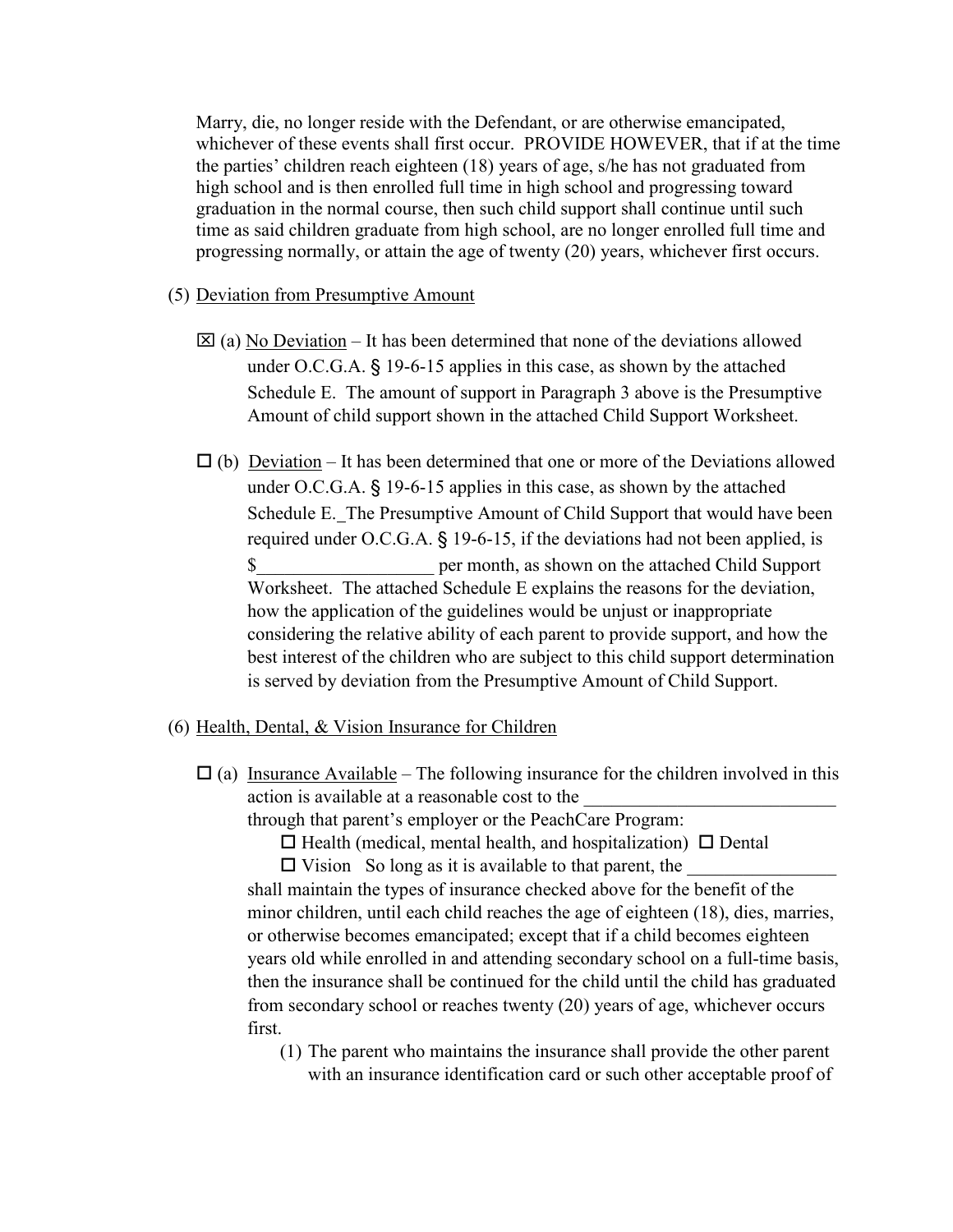Marry, die, no longer reside with the Defendant, or are otherwise emancipated, whichever of these events shall first occur. PROVIDE HOWEVER, that if at the time the parties' children reach eighteen (18) years of age, s/he has not graduated from high school and is then enrolled full time in high school and progressing toward graduation in the normal course, then such child support shall continue until such time as said children graduate from high school, are no longer enrolled full time and progressing normally, or attain the age of twenty (20) years, whichever first occurs.

- (5) Deviation from Presumptive Amount
	- $\boxtimes$  (a) No Deviation It has been determined that none of the deviations allowed under O.C.G.A. § 19-6-15 applies in this case, as shown by the attached Schedule E. The amount of support in Paragraph 3 above is the Presumptive Amount of child support shown in the attached Child Support Worksheet.
	- $\Box$  (b) <u>Deviation</u> It has been determined that one or more of the Deviations allowed under O.C.G.A. § 19-6-15 applies in this case, as shown by the attached Schedule E. The Presumptive Amount of Child Support that would have been required under O.C.G.A. § 19-6-15, if the deviations had not been applied, is \$\_\_\_\_\_\_\_\_\_\_\_\_\_\_\_\_\_\_\_ per month, as shown on the attached Child Support Worksheet. The attached Schedule E explains the reasons for the deviation, how the application of the guidelines would be unjust or inappropriate considering the relative ability of each parent to provide support, and how the best interest of the children who are subject to this child support determination is served by deviation from the Presumptive Amount of Child Support.

#### (6) Health, Dental, & Vision Insurance for Children

 $\Box$  (a) Insurance Available – The following insurance for the children involved in this action is available at a reasonable cost to the

through that parent's employer or the PeachCare Program:

 $\Box$  Health (medical, mental health, and hospitalization)  $\Box$  Dental  $\Box$  Vision So long as it is available to that parent, the  $\Box$ 

 shall maintain the types of insurance checked above for the benefit of the minor children, until each child reaches the age of eighteen (18), dies, marries, or otherwise becomes emancipated; except that if a child becomes eighteen years old while enrolled in and attending secondary school on a full-time basis, then the insurance shall be continued for the child until the child has graduated from secondary school or reaches twenty (20) years of age, whichever occurs first.

(1) The parent who maintains the insurance shall provide the other parent with an insurance identification card or such other acceptable proof of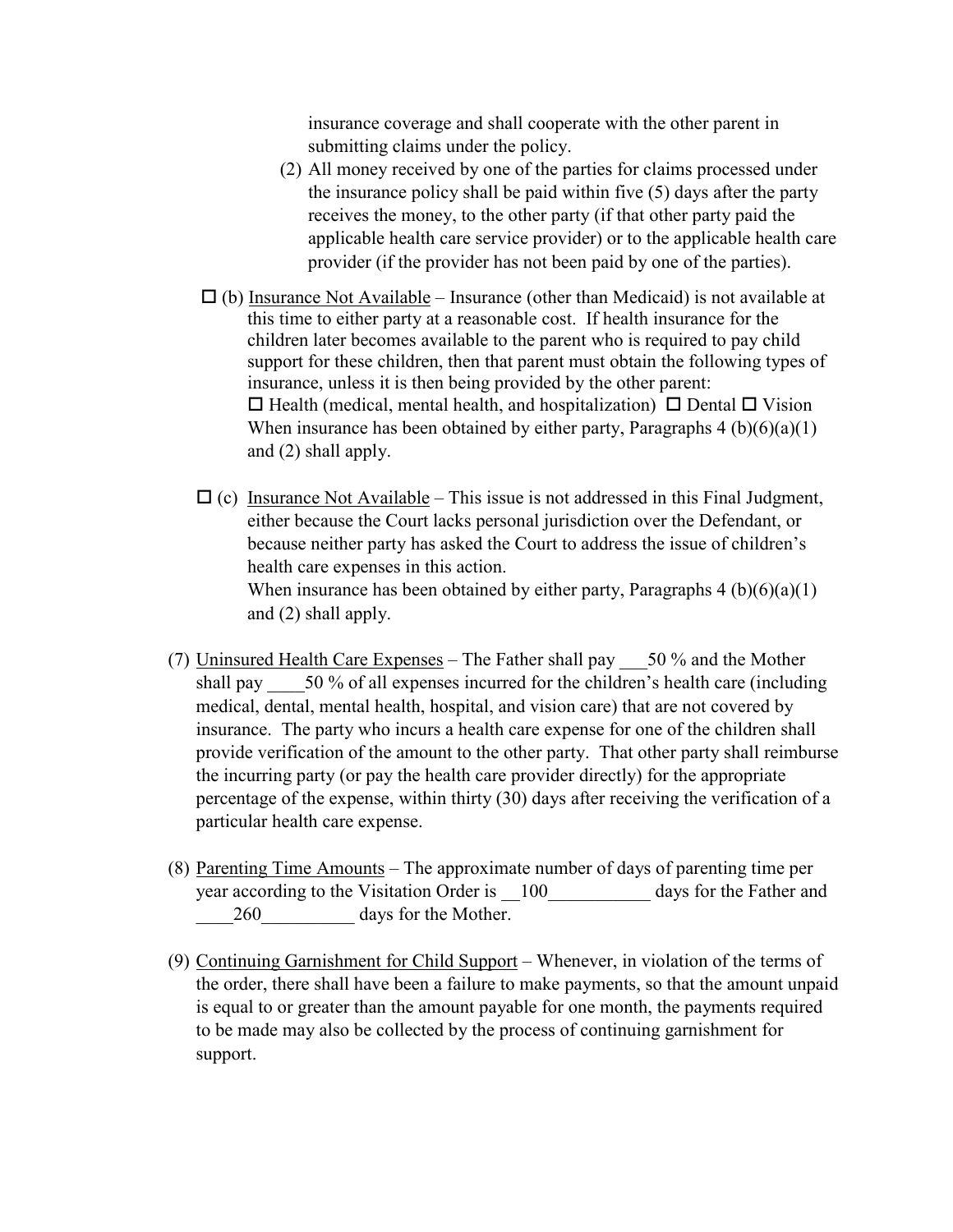insurance coverage and shall cooperate with the other parent in submitting claims under the policy.

- (2) All money received by one of the parties for claims processed under the insurance policy shall be paid within five (5) days after the party receives the money, to the other party (if that other party paid the applicable health care service provider) or to the applicable health care provider (if the provider has not been paid by one of the parties).
- $\Box$  (b) Insurance Not Available Insurance (other than Medicaid) is not available at this time to either party at a reasonable cost. If health insurance for the children later becomes available to the parent who is required to pay child support for these children, then that parent must obtain the following types of insurance, unless it is then being provided by the other parent:  $\Box$  Health (medical, mental health, and hospitalization)  $\Box$  Dental  $\Box$  Vision When insurance has been obtained by either party, Paragraphs  $4 (b)(6)(a)(1)$  and (2) shall apply.
	- $\Box$  (c) Insurance Not Available This issue is not addressed in this Final Judgment, either because the Court lacks personal jurisdiction over the Defendant, or because neither party has asked the Court to address the issue of children's health care expenses in this action. When insurance has been obtained by either party, Paragraphs  $4 (b)(6)(a)(1)$ and (2) shall apply.
- (7) Uninsured Health Care Expenses The Father shall pay  $\frac{1}{20}$  % and the Mother shall pay  $\frac{50\% \text{ of all expenses incurred for the children's health care (including)}{250\%}$ medical, dental, mental health, hospital, and vision care) that are not covered by insurance. The party who incurs a health care expense for one of the children shall provide verification of the amount to the other party. That other party shall reimburse the incurring party (or pay the health care provider directly) for the appropriate percentage of the expense, within thirty (30) days after receiving the verification of a particular health care expense.
- (8) Parenting Time Amounts The approximate number of days of parenting time per year according to the Visitation Order is  $\frac{100}{2}$  days for the Father and 260 days for the Mother.
- (9) Continuing Garnishment for Child Support Whenever, in violation of the terms of the order, there shall have been a failure to make payments, so that the amount unpaid is equal to or greater than the amount payable for one month, the payments required to be made may also be collected by the process of continuing garnishment for support.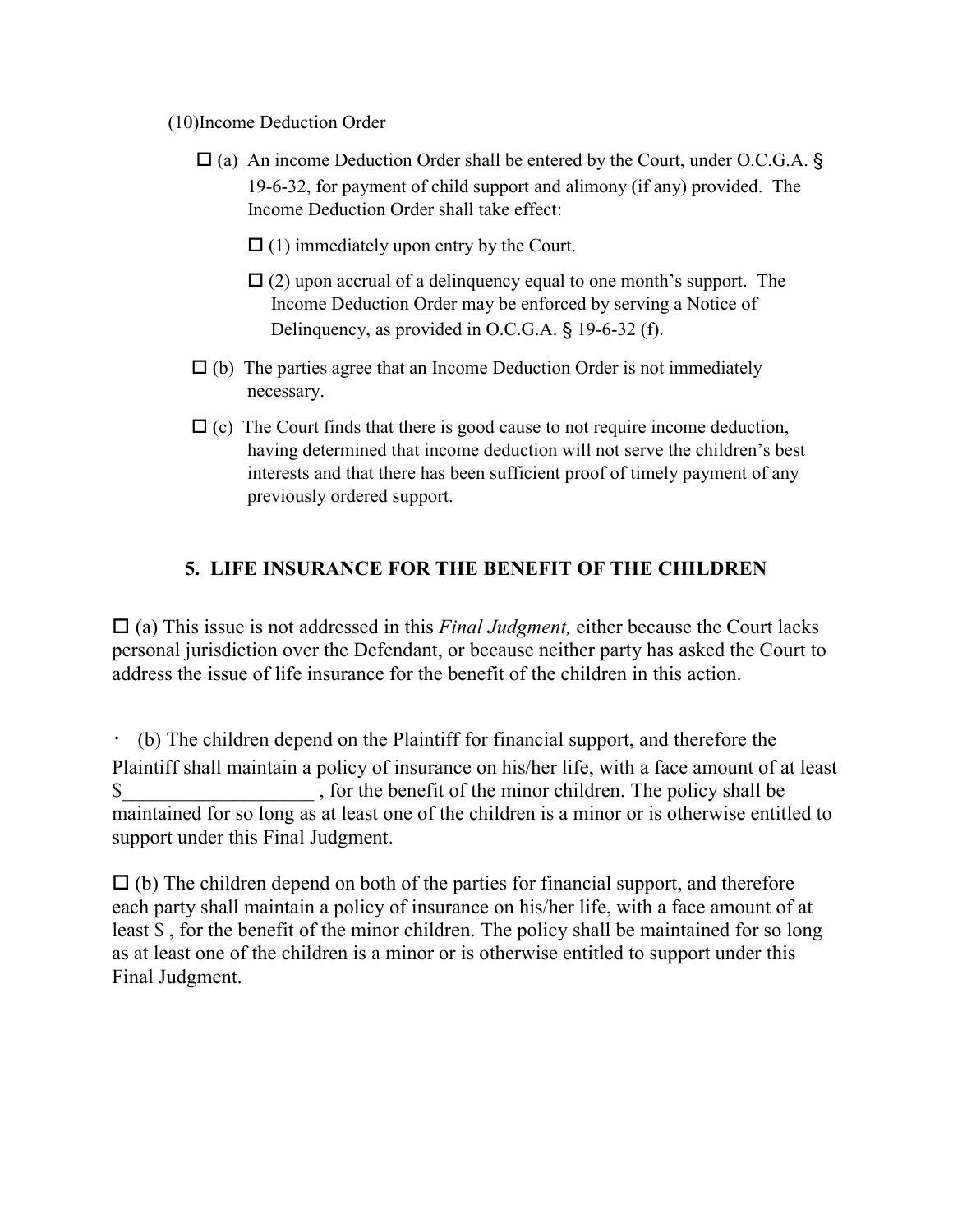### (10)Income Deduction Order

- $\Box$  (a) An income Deduction Order shall be entered by the Court, under O.C.G.A. § 19-6-32, for payment of child support and alimony (if any) provided. The Income Deduction Order shall take effect:
- - $\Box$  (1) immediately upon entry by the Court.
- - $\Box$  (2) upon accrual of a delinguency equal to one month's support. The Income Deduction Order may be enforced by serving a Notice of Delinquency, as provided in O.C.G.A. § 19-6-32 (f).
- $\Box$  (b) The parties agree that an Income Deduction Order is not immediately necessary.
- $\Box$  (c) The Court finds that there is good cause to not require income deduction, having determined that income deduction will not serve the children's best interests and that there has been sufficient proof of timely payment of any previously ordered support.

# **5. LIFE INSURANCE FOR THE BENEFIT OF THE CHILDREN**

□ (a) This issue is not addressed in this *Final Judgment*, either because the Court lacks personal jurisdiction over the Defendant, or because neither party has asked the Court to address the issue of life insurance for the benefit of the children in this action.

 (b) The children depend on the Plaintiff for financial support, and therefore the Plaintiff shall maintain a policy of insurance on his/her life, with a face amount of at least \$ for the benefit of the minor children. The policy shall be maintained for so long as at least one of the children is a minor or is otherwise entitled to support under this Final Judgment.

 $\Box$  (b) The children depend on both of the parties for financial support, and therefore each party shall maintain a policy of insurance on his/her life, with a face amount of at least \$ , for the benefit of the minor children. The policy shall be maintained for so long as at least one of the children is a minor or is otherwise entitled to support under this Final Judgment.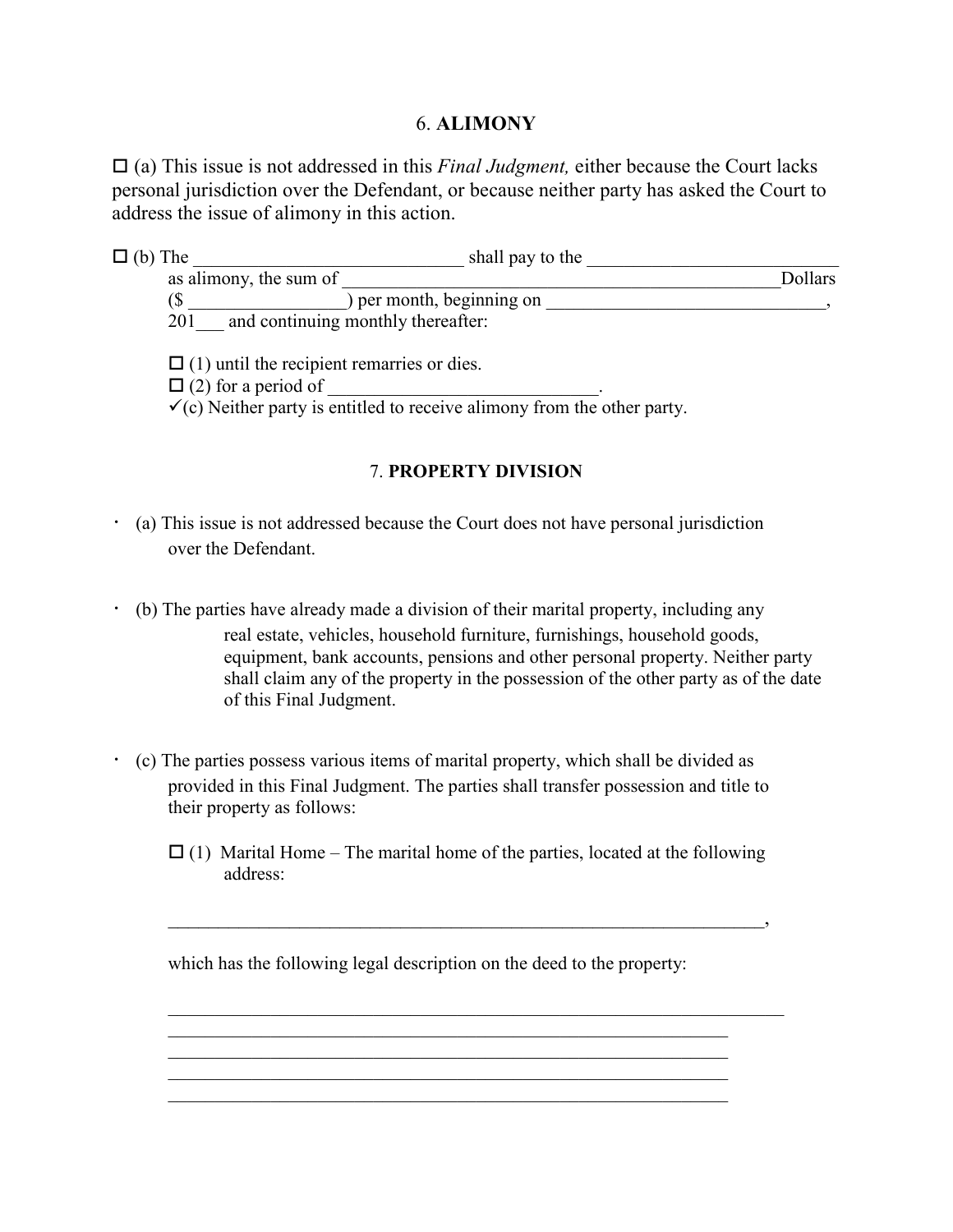## 6. **ALIMONY**

□ (a) This issue is not addressed in this *Final Judgment*, either because the Court lacks personal jurisdiction over the Defendant, or because neither party has asked the Court to address the issue of alimony in this action.

| $\Box$ (b) The         | shall pay to the                   |         |
|------------------------|------------------------------------|---------|
| as alimony, the sum of |                                    | Dollars |
| (\$                    | per month, beginning on            |         |
| 201                    | and continuing monthly thereafter: |         |
|                        |                                    |         |

 $\Box$  (1) until the recipient remarries or dies.

- (2) for a period of \_\_\_\_\_\_\_\_\_\_\_\_\_\_\_\_\_\_\_\_\_\_\_\_\_\_\_\_\_.

 $\checkmark$  (c) Neither party is entitled to receive alimony from the other party.

### 7. **PROPERTY DIVISION**

- (a) This issue is not addressed because the Court does not have personal jurisdiction over the Defendant.
- (b) The parties have already made a division of their marital property, including any real estate, vehicles, household furniture, furnishings, household goods, equipment, bank accounts, pensions and other personal property. Neither party shall claim any of the property in the possession of the other party as of the date of this Final Judgment.
- (c) The parties possess various items of marital property, which shall be divided as provided in this Final Judgment. The parties shall transfer possession and title to their property as follows:
	- $\Box$  (1) Marital Home The marital home of the parties, located at the following address:

which has the following legal description on the deed to the property:

 $\mathcal{L}_\text{max} = \frac{1}{2} \sum_{i=1}^{n} \frac{1}{2} \sum_{i=1}^{n} \frac{1}{2} \sum_{i=1}^{n} \frac{1}{2} \sum_{i=1}^{n} \frac{1}{2} \sum_{i=1}^{n} \frac{1}{2} \sum_{i=1}^{n} \frac{1}{2} \sum_{i=1}^{n} \frac{1}{2} \sum_{i=1}^{n} \frac{1}{2} \sum_{i=1}^{n} \frac{1}{2} \sum_{i=1}^{n} \frac{1}{2} \sum_{i=1}^{n} \frac{1}{2} \sum_{i=1}^{n} \frac{1$ 

 $\mathcal{L}_\text{max} = \frac{1}{2} \sum_{i=1}^{n} \frac{1}{2} \sum_{i=1}^{n} \frac{1}{2} \sum_{i=1}^{n} \frac{1}{2} \sum_{i=1}^{n} \frac{1}{2} \sum_{i=1}^{n} \frac{1}{2} \sum_{i=1}^{n} \frac{1}{2} \sum_{i=1}^{n} \frac{1}{2} \sum_{i=1}^{n} \frac{1}{2} \sum_{i=1}^{n} \frac{1}{2} \sum_{i=1}^{n} \frac{1}{2} \sum_{i=1}^{n} \frac{1}{2} \sum_{i=1}^{n} \frac{1$  $\mathcal{L}_\text{max} = \frac{1}{2} \sum_{i=1}^n \mathcal{L}_\text{max}(\mathbf{z}_i - \mathbf{z}_i)$ 

 $\overline{\phantom{a}}$ 

 $\mathcal{L}_\text{max} = \frac{1}{2} \sum_{i=1}^{n} \frac{1}{2} \sum_{i=1}^{n} \frac{1}{2} \sum_{i=1}^{n} \frac{1}{2} \sum_{i=1}^{n} \frac{1}{2} \sum_{i=1}^{n} \frac{1}{2} \sum_{i=1}^{n} \frac{1}{2} \sum_{i=1}^{n} \frac{1}{2} \sum_{i=1}^{n} \frac{1}{2} \sum_{i=1}^{n} \frac{1}{2} \sum_{i=1}^{n} \frac{1}{2} \sum_{i=1}^{n} \frac{1}{2} \sum_{i=1}^{n} \frac{1$ 

 $\mathcal{L}_\text{max}$  and the contract of the contract of the contract of the contract of the contract of the contract of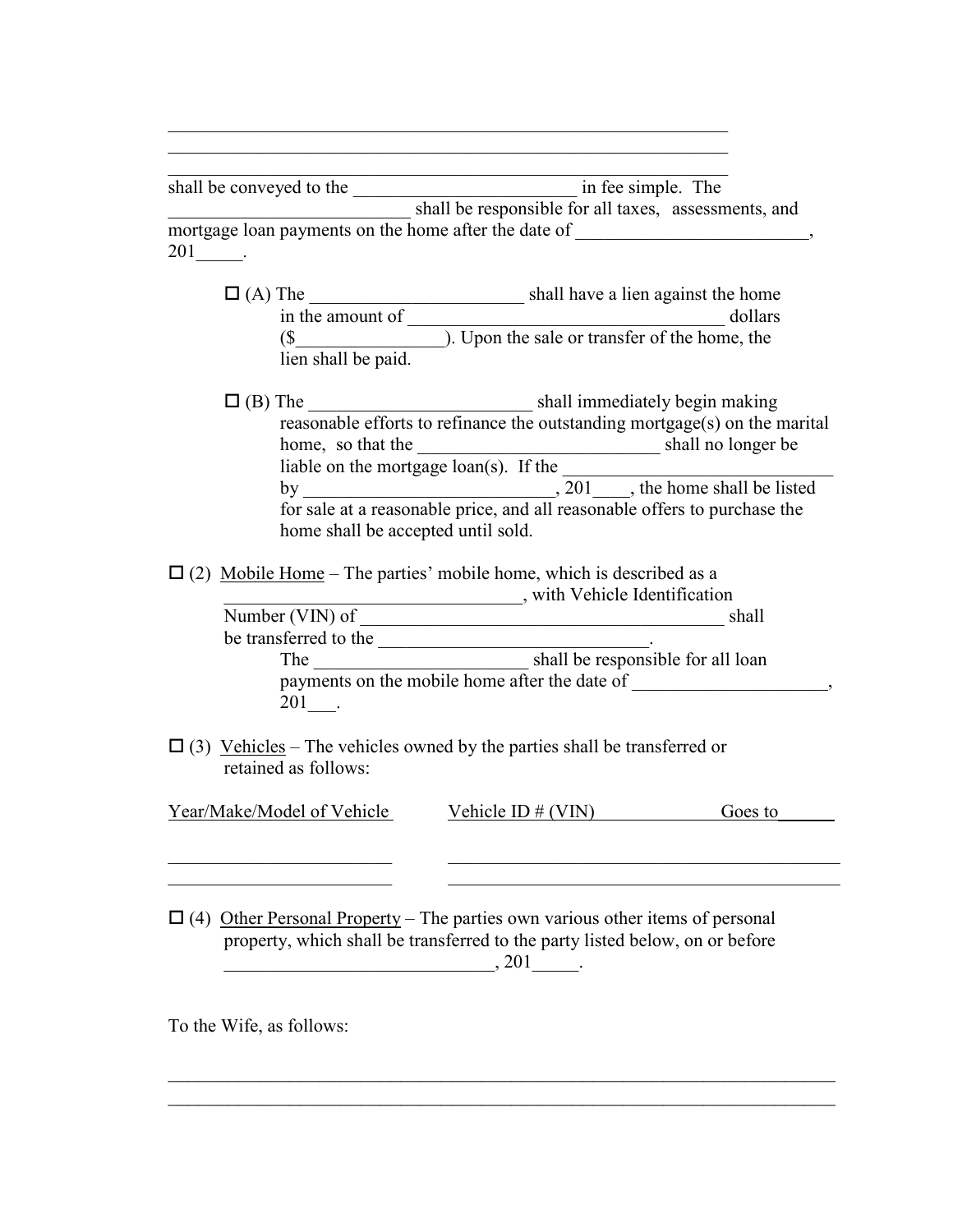\_\_\_\_\_\_\_\_\_\_\_\_\_\_\_\_\_\_\_\_\_\_\_\_\_\_\_\_\_\_\_\_\_\_\_\_\_\_\_\_\_\_\_\_\_\_\_\_\_\_\_\_\_\_\_\_\_\_\_\_ shall be conveyed to the \_\_\_\_\_\_\_\_\_\_\_\_\_\_\_\_\_\_\_\_\_\_\_\_ in fee simple. The \_\_\_\_\_\_\_\_\_\_\_\_\_\_\_\_\_\_\_\_\_\_\_\_\_\_ shall be responsible for all taxes, assessments, and mortgage loan payments on the home after the date of  $\cdot$ 201\_\_\_\_\_.

 $\mathcal{L}_\text{max} = \frac{1}{2} \sum_{i=1}^{n} \frac{1}{2} \sum_{i=1}^{n} \frac{1}{2} \sum_{i=1}^{n} \frac{1}{2} \sum_{i=1}^{n} \frac{1}{2} \sum_{i=1}^{n} \frac{1}{2} \sum_{i=1}^{n} \frac{1}{2} \sum_{i=1}^{n} \frac{1}{2} \sum_{i=1}^{n} \frac{1}{2} \sum_{i=1}^{n} \frac{1}{2} \sum_{i=1}^{n} \frac{1}{2} \sum_{i=1}^{n} \frac{1}{2} \sum_{i=1}^{n} \frac{1$  $\mathcal{L}_\text{max} = \frac{1}{2} \sum_{i=1}^{n} \frac{1}{2} \sum_{i=1}^{n} \frac{1}{2} \sum_{i=1}^{n} \frac{1}{2} \sum_{i=1}^{n} \frac{1}{2} \sum_{i=1}^{n} \frac{1}{2} \sum_{i=1}^{n} \frac{1}{2} \sum_{i=1}^{n} \frac{1}{2} \sum_{i=1}^{n} \frac{1}{2} \sum_{i=1}^{n} \frac{1}{2} \sum_{i=1}^{n} \frac{1}{2} \sum_{i=1}^{n} \frac{1}{2} \sum_{i=1}^{n} \frac{1$ 

- (A) The \_\_\_\_\_\_\_\_\_\_\_\_\_\_\_\_\_\_\_\_\_\_\_ shall have a lien against the home in the amount of \_\_\_\_\_\_\_\_\_\_\_\_\_\_\_\_\_\_\_\_\_\_\_\_\_\_\_\_\_\_\_\_\_\_ dollars (\$\_\_\_\_\_\_\_\_\_\_\_\_\_\_\_\_). Upon the sale or transfer of the home, the lien shall be paid.
- (B) The \_\_\_\_\_\_\_\_\_\_\_\_\_\_\_\_\_\_\_\_\_\_\_\_ shall immediately begin making reasonable efforts to refinance the outstanding mortgage(s) on the marital home, so that the shall no longer be shall no longer be liable on the mortgage loan(s). If the by  $\frac{1}{201}$ , 201 the home shall be listed for sale at a reasonable price, and all reasonable offers to purchase the home shall be accepted until sold.
	- $\Box$  (2) Mobile Home The parties' mobile home, which is described as a \_\_\_\_\_\_\_\_\_\_\_\_\_\_\_\_\_\_\_\_\_\_\_\_\_\_\_\_\_\_, with Vehicle Identification

 Number (VIN) of \_\_\_\_\_\_\_\_\_\_\_\_\_\_\_\_\_\_\_\_\_\_\_\_\_\_\_\_\_\_\_\_\_\_\_\_\_\_\_ shall be transferred to the \_\_\_\_\_\_\_\_\_\_\_\_\_\_\_\_\_\_\_\_\_\_\_\_\_\_\_\_. The <u>entity</u> shall be responsible for all loan payments on the mobile home after the date of \_\_\_\_\_\_\_\_\_\_\_\_\_\_\_\_\_\_\_\_\_, 201\_\_\_.

 $\Box$  (3) Vehicles – The vehicles owned by the parties shall be transferred or retained as follows:

| Year/Make/Model of Vehicle | Vehicle ID $#$ (VIN) | <b>roes</b> to |
|----------------------------|----------------------|----------------|
|                            |                      |                |

 $\_$  , and the contribution of the contribution of  $\mathcal{L}_\mathcal{A}$  , and the contribution of  $\mathcal{L}_\mathcal{A}$ 

 $\mathcal{L}_\mathcal{L} = \mathcal{L}_\mathcal{L} = \mathcal{L}_\mathcal{L} = \mathcal{L}_\mathcal{L} = \mathcal{L}_\mathcal{L} = \mathcal{L}_\mathcal{L} = \mathcal{L}_\mathcal{L} = \mathcal{L}_\mathcal{L} = \mathcal{L}_\mathcal{L} = \mathcal{L}_\mathcal{L} = \mathcal{L}_\mathcal{L} = \mathcal{L}_\mathcal{L} = \mathcal{L}_\mathcal{L} = \mathcal{L}_\mathcal{L} = \mathcal{L}_\mathcal{L} = \mathcal{L}_\mathcal{L} = \mathcal{L}_\mathcal{L}$ 

 $\Box$  (4) Other Personal Property – The parties own various other items of personal property, which shall be transferred to the party listed below, on or before  $, 201$   $.$ 

 $\mathcal{L}_\text{max} = \frac{1}{2} \sum_{i=1}^{n} \frac{1}{2} \sum_{i=1}^{n} \frac{1}{2} \sum_{i=1}^{n} \frac{1}{2} \sum_{i=1}^{n} \frac{1}{2} \sum_{i=1}^{n} \frac{1}{2} \sum_{i=1}^{n} \frac{1}{2} \sum_{i=1}^{n} \frac{1}{2} \sum_{i=1}^{n} \frac{1}{2} \sum_{i=1}^{n} \frac{1}{2} \sum_{i=1}^{n} \frac{1}{2} \sum_{i=1}^{n} \frac{1}{2} \sum_{i=1}^{n} \frac{1$  $\mathcal{L}_\mathcal{L} = \mathcal{L}_\mathcal{L} = \mathcal{L}_\mathcal{L} = \mathcal{L}_\mathcal{L} = \mathcal{L}_\mathcal{L} = \mathcal{L}_\mathcal{L} = \mathcal{L}_\mathcal{L} = \mathcal{L}_\mathcal{L} = \mathcal{L}_\mathcal{L} = \mathcal{L}_\mathcal{L} = \mathcal{L}_\mathcal{L} = \mathcal{L}_\mathcal{L} = \mathcal{L}_\mathcal{L} = \mathcal{L}_\mathcal{L} = \mathcal{L}_\mathcal{L} = \mathcal{L}_\mathcal{L} = \mathcal{L}_\mathcal{L}$ 

To the Wife, as follows: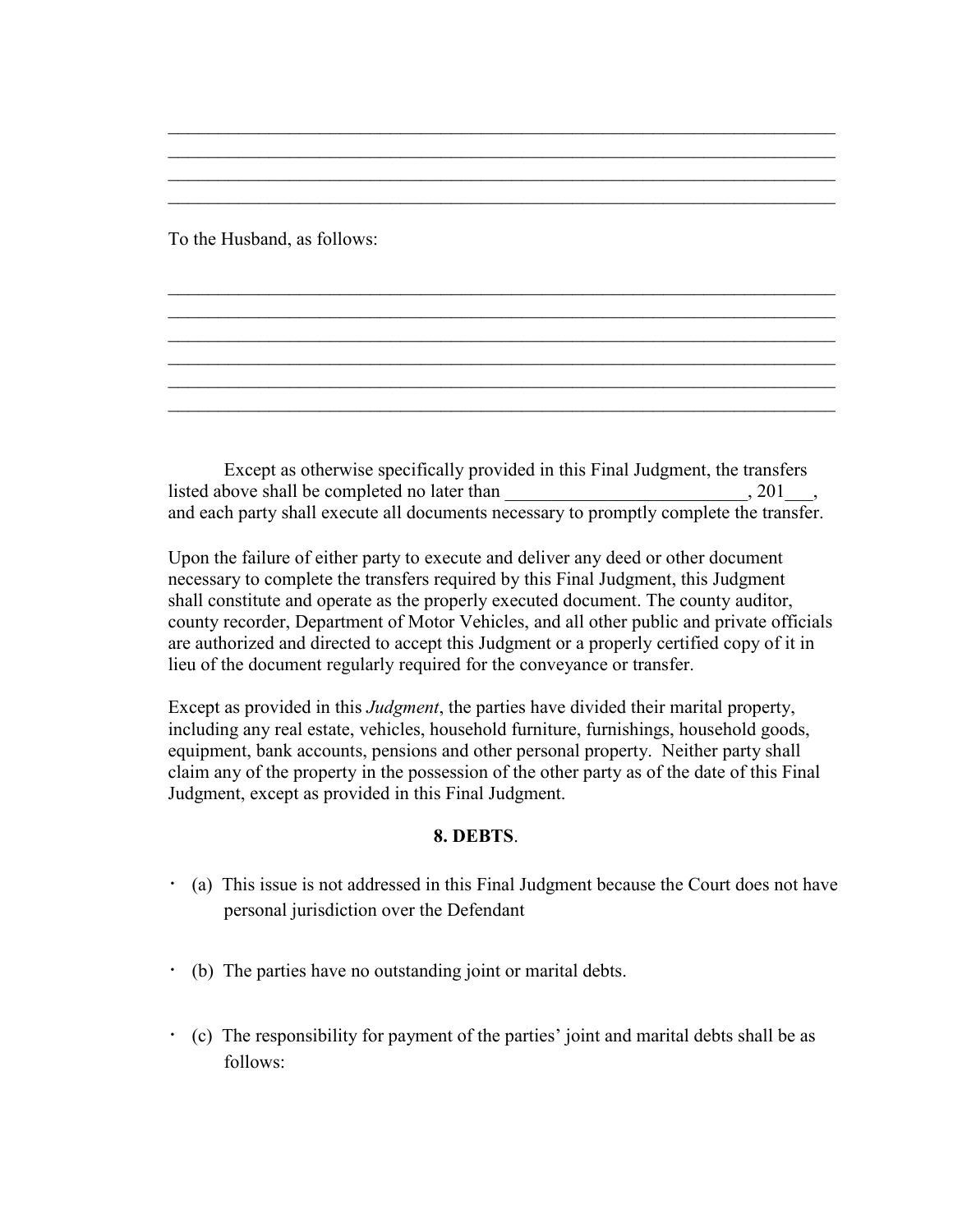To the Husband, as follows:

 Except as otherwise specifically provided in this Final Judgment, the transfers listed above shall be completed no later than  $\Box$ and each party shall execute all documents necessary to promptly complete the transfer.

 $\mathcal{L}_\mathcal{L} = \mathcal{L}_\mathcal{L} = \mathcal{L}_\mathcal{L} = \mathcal{L}_\mathcal{L} = \mathcal{L}_\mathcal{L} = \mathcal{L}_\mathcal{L} = \mathcal{L}_\mathcal{L} = \mathcal{L}_\mathcal{L} = \mathcal{L}_\mathcal{L} = \mathcal{L}_\mathcal{L} = \mathcal{L}_\mathcal{L} = \mathcal{L}_\mathcal{L} = \mathcal{L}_\mathcal{L} = \mathcal{L}_\mathcal{L} = \mathcal{L}_\mathcal{L} = \mathcal{L}_\mathcal{L} = \mathcal{L}_\mathcal{L}$  $\mathcal{L}_\mathcal{L} = \mathcal{L}_\mathcal{L} = \mathcal{L}_\mathcal{L} = \mathcal{L}_\mathcal{L} = \mathcal{L}_\mathcal{L} = \mathcal{L}_\mathcal{L} = \mathcal{L}_\mathcal{L} = \mathcal{L}_\mathcal{L} = \mathcal{L}_\mathcal{L} = \mathcal{L}_\mathcal{L} = \mathcal{L}_\mathcal{L} = \mathcal{L}_\mathcal{L} = \mathcal{L}_\mathcal{L} = \mathcal{L}_\mathcal{L} = \mathcal{L}_\mathcal{L} = \mathcal{L}_\mathcal{L} = \mathcal{L}_\mathcal{L}$ 

 $\mathcal{L}_\mathcal{L} = \mathcal{L}_\mathcal{L} = \mathcal{L}_\mathcal{L} = \mathcal{L}_\mathcal{L} = \mathcal{L}_\mathcal{L} = \mathcal{L}_\mathcal{L} = \mathcal{L}_\mathcal{L} = \mathcal{L}_\mathcal{L} = \mathcal{L}_\mathcal{L} = \mathcal{L}_\mathcal{L} = \mathcal{L}_\mathcal{L} = \mathcal{L}_\mathcal{L} = \mathcal{L}_\mathcal{L} = \mathcal{L}_\mathcal{L} = \mathcal{L}_\mathcal{L} = \mathcal{L}_\mathcal{L} = \mathcal{L}_\mathcal{L}$  $\mathcal{L}_\mathcal{L} = \mathcal{L}_\mathcal{L} = \mathcal{L}_\mathcal{L} = \mathcal{L}_\mathcal{L} = \mathcal{L}_\mathcal{L} = \mathcal{L}_\mathcal{L} = \mathcal{L}_\mathcal{L} = \mathcal{L}_\mathcal{L} = \mathcal{L}_\mathcal{L} = \mathcal{L}_\mathcal{L} = \mathcal{L}_\mathcal{L} = \mathcal{L}_\mathcal{L} = \mathcal{L}_\mathcal{L} = \mathcal{L}_\mathcal{L} = \mathcal{L}_\mathcal{L} = \mathcal{L}_\mathcal{L} = \mathcal{L}_\mathcal{L}$  $\mathcal{L}_\mathcal{L} = \mathcal{L}_\mathcal{L} = \mathcal{L}_\mathcal{L} = \mathcal{L}_\mathcal{L} = \mathcal{L}_\mathcal{L} = \mathcal{L}_\mathcal{L} = \mathcal{L}_\mathcal{L} = \mathcal{L}_\mathcal{L} = \mathcal{L}_\mathcal{L} = \mathcal{L}_\mathcal{L} = \mathcal{L}_\mathcal{L} = \mathcal{L}_\mathcal{L} = \mathcal{L}_\mathcal{L} = \mathcal{L}_\mathcal{L} = \mathcal{L}_\mathcal{L} = \mathcal{L}_\mathcal{L} = \mathcal{L}_\mathcal{L}$  $\mathcal{L}_\text{max} = \frac{1}{2} \sum_{i=1}^{n} \frac{1}{2} \sum_{i=1}^{n} \frac{1}{2} \sum_{i=1}^{n} \frac{1}{2} \sum_{i=1}^{n} \frac{1}{2} \sum_{i=1}^{n} \frac{1}{2} \sum_{i=1}^{n} \frac{1}{2} \sum_{i=1}^{n} \frac{1}{2} \sum_{i=1}^{n} \frac{1}{2} \sum_{i=1}^{n} \frac{1}{2} \sum_{i=1}^{n} \frac{1}{2} \sum_{i=1}^{n} \frac{1}{2} \sum_{i=1}^{n} \frac{1$  $\mathcal{L}_\text{max} = \frac{1}{2} \sum_{i=1}^{n} \frac{1}{2} \sum_{i=1}^{n} \frac{1}{2} \sum_{i=1}^{n} \frac{1}{2} \sum_{i=1}^{n} \frac{1}{2} \sum_{i=1}^{n} \frac{1}{2} \sum_{i=1}^{n} \frac{1}{2} \sum_{i=1}^{n} \frac{1}{2} \sum_{i=1}^{n} \frac{1}{2} \sum_{i=1}^{n} \frac{1}{2} \sum_{i=1}^{n} \frac{1}{2} \sum_{i=1}^{n} \frac{1}{2} \sum_{i=1}^{n} \frac{1$  $\mathcal{L}_\text{max} = \frac{1}{2} \sum_{i=1}^{n} \frac{1}{2} \sum_{i=1}^{n} \frac{1}{2} \sum_{i=1}^{n} \frac{1}{2} \sum_{i=1}^{n} \frac{1}{2} \sum_{i=1}^{n} \frac{1}{2} \sum_{i=1}^{n} \frac{1}{2} \sum_{i=1}^{n} \frac{1}{2} \sum_{i=1}^{n} \frac{1}{2} \sum_{i=1}^{n} \frac{1}{2} \sum_{i=1}^{n} \frac{1}{2} \sum_{i=1}^{n} \frac{1}{2} \sum_{i=1}^{n} \frac{1$ 

Upon the failure of either party to execute and deliver any deed or other document necessary to complete the transfers required by this Final Judgment, this Judgment shall constitute and operate as the properly executed document. The county auditor, county recorder, Department of Motor Vehicles, and all other public and private officials are authorized and directed to accept this Judgment or a properly certified copy of it in lieu of the document regularly required for the conveyance or transfer.

Except as provided in this *Judgment*, the parties have divided their marital property, including any real estate, vehicles, household furniture, furnishings, household goods, equipment, bank accounts, pensions and other personal property. Neither party shall claim any of the property in the possession of the other party as of the date of this Final Judgment, except as provided in this Final Judgment.

#### **8. DEBTS**.

- (a) This issue is not addressed in this Final Judgment because the Court does not have personal jurisdiction over the Defendant
- (b) The parties have no outstanding joint or marital debts.
- (c) The responsibility for payment of the parties' joint and marital debts shall be as follows: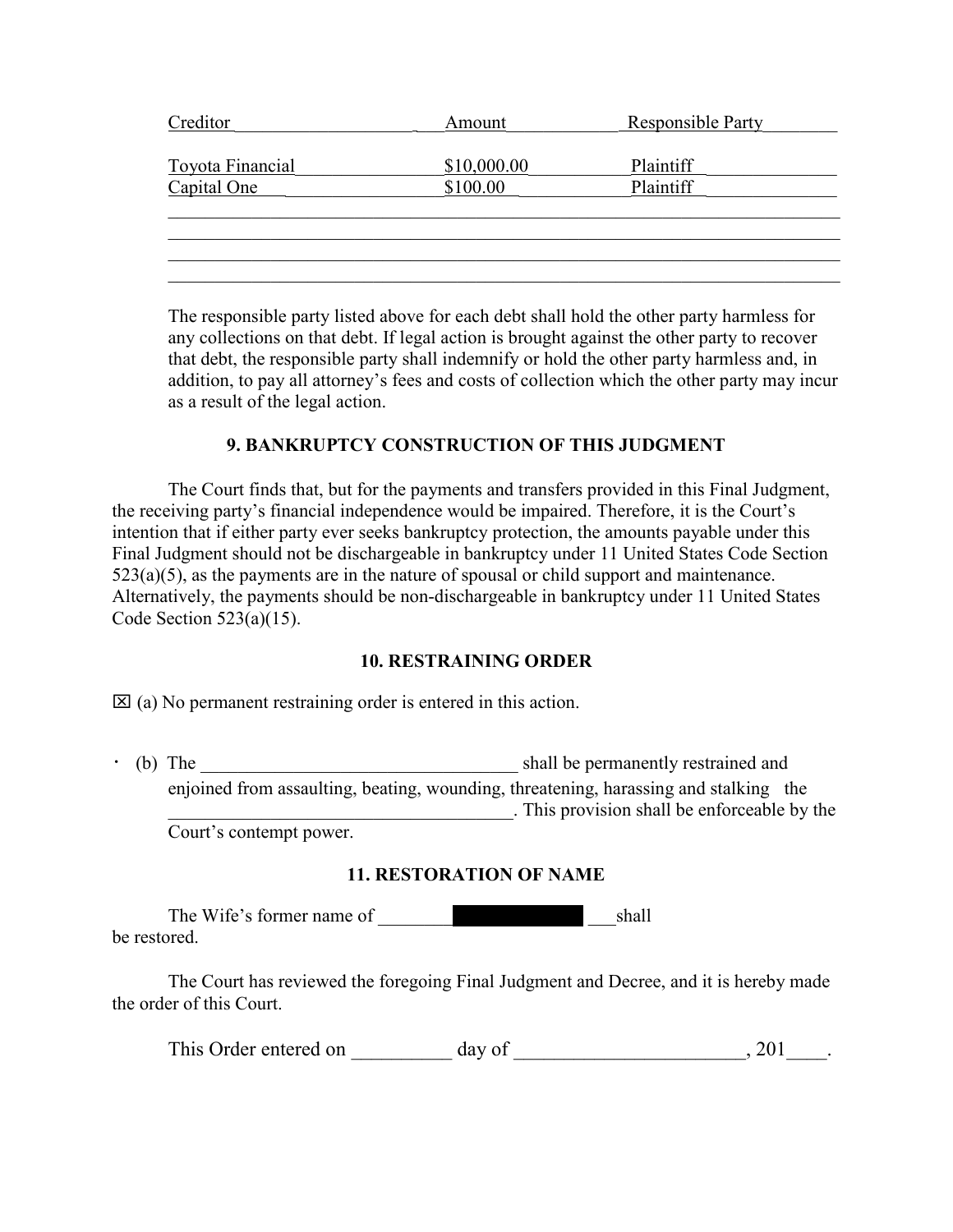| Creditor                | Amount      | <b>Responsible Party</b> |
|-------------------------|-------------|--------------------------|
| <b>Toyota Financial</b> | \$10,000.00 | Plaintiff                |
| Capital One             | \$100.00    | Plaintiff                |
|                         |             |                          |
|                         |             |                          |
|                         |             |                          |
|                         |             |                          |

The responsible party listed above for each debt shall hold the other party harmless for any collections on that debt. If legal action is brought against the other party to recover that debt, the responsible party shall indemnify or hold the other party harmless and, in addition, to pay all attorney's fees and costs of collection which the other party may incur as a result of the legal action.

## **9. BANKRUPTCY CONSTRUCTION OF THIS JUDGMENT**

 The Court finds that, but for the payments and transfers provided in this Final Judgment, the receiving party's financial independence would be impaired. Therefore, it is the Court's intention that if either party ever seeks bankruptcy protection, the amounts payable under this Final Judgment should not be dischargeable in bankruptcy under 11 United States Code Section  $523(a)(5)$ , as the payments are in the nature of spousal or child support and maintenance. Alternatively, the payments should be non-dischargeable in bankruptcy under 11 United States Code Section  $523(a)(15)$ .

#### **10. RESTRAINING ORDER**

 $\boxtimes$  (a) No permanent restraining order is entered in this action.

(b) The shall be permanently restrained and enjoined from assaulting, beating, wounding, threatening, harassing and stalking the \_\_\_\_\_\_\_\_\_\_\_\_\_\_\_\_\_\_\_\_\_\_\_\_\_\_\_\_\_\_\_\_\_\_\_\_\_. This provision shall be enforceable by the Court's contempt power.

### **11. RESTORATION OF NAME**

The Wife's former name of shall be restored.

The Court has reviewed the foregoing Final Judgment and Decree, and it is hereby made the order of this Court.

This Order entered on \_\_\_\_\_\_\_\_\_\_ day of \_\_\_\_\_\_\_\_\_\_\_\_\_\_\_\_\_\_\_\_\_\_\_, 201\_\_\_\_\_.